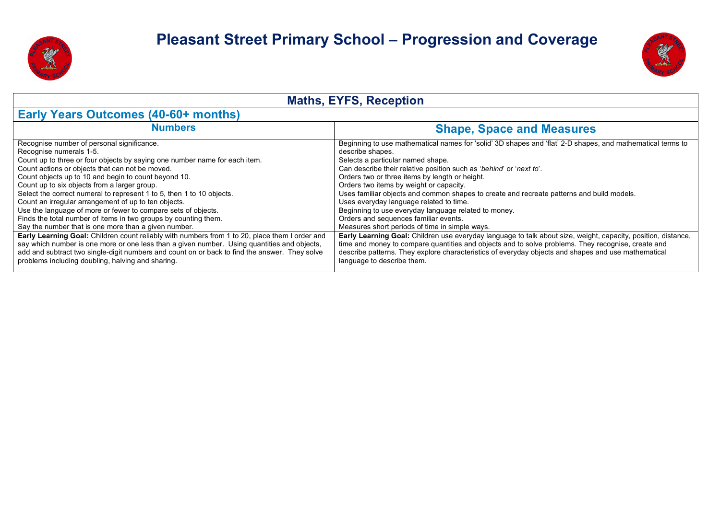



| <b>Maths, EYFS, Reception</b>                                                                                                                                                                                                                                                                                                                                                                                                                                                                                                                                                                                                                                                                                                                                                                                                                                                                                                                                                                      |                                                                                                                                                                                                                                                                                                                                                                                                                                                                                                                                                                                                                                                                                                                                                                                                                                                                                                                                                                                                |  |  |  |  |  |
|----------------------------------------------------------------------------------------------------------------------------------------------------------------------------------------------------------------------------------------------------------------------------------------------------------------------------------------------------------------------------------------------------------------------------------------------------------------------------------------------------------------------------------------------------------------------------------------------------------------------------------------------------------------------------------------------------------------------------------------------------------------------------------------------------------------------------------------------------------------------------------------------------------------------------------------------------------------------------------------------------|------------------------------------------------------------------------------------------------------------------------------------------------------------------------------------------------------------------------------------------------------------------------------------------------------------------------------------------------------------------------------------------------------------------------------------------------------------------------------------------------------------------------------------------------------------------------------------------------------------------------------------------------------------------------------------------------------------------------------------------------------------------------------------------------------------------------------------------------------------------------------------------------------------------------------------------------------------------------------------------------|--|--|--|--|--|
| <b>Early Years Outcomes (40-60+ months)</b>                                                                                                                                                                                                                                                                                                                                                                                                                                                                                                                                                                                                                                                                                                                                                                                                                                                                                                                                                        |                                                                                                                                                                                                                                                                                                                                                                                                                                                                                                                                                                                                                                                                                                                                                                                                                                                                                                                                                                                                |  |  |  |  |  |
| <b>Numbers</b>                                                                                                                                                                                                                                                                                                                                                                                                                                                                                                                                                                                                                                                                                                                                                                                                                                                                                                                                                                                     | <b>Shape, Space and Measures</b>                                                                                                                                                                                                                                                                                                                                                                                                                                                                                                                                                                                                                                                                                                                                                                                                                                                                                                                                                               |  |  |  |  |  |
| Recognise number of personal significance.<br>Recognise numerals 1-5.<br>Count up to three or four objects by saying one number name for each item.<br>Count actions or objects that can not be moved.<br>Count objects up to 10 and begin to count beyond 10.<br>Count up to six objects from a larger group.<br>Select the correct numeral to represent 1 to 5, then 1 to 10 objects.<br>Count an irregular arrangement of up to ten objects.<br>Use the language of more or fewer to compare sets of objects.<br>Finds the total number of items in two groups by counting them.<br>Say the number that is one more than a given number.<br>Early Learning Goal: Children count reliably with numbers from 1 to 20, place them I order and<br>say which number is one more or one less than a given number. Using quantities and objects,<br>add and subtract two single-digit numbers and count on or back to find the answer. They solve<br>problems including doubling, halving and sharing. | Beginning to use mathematical names for 'solid' 3D shapes and 'flat' 2-D shapes, and mathematical terms to<br>describe shapes.<br>Selects a particular named shape.<br>Can describe their relative position such as 'behind' or 'next to'.<br>Orders two or three items by length or height.<br>Orders two items by weight or capacity.<br>Uses familiar objects and common shapes to create and recreate patterns and build models.<br>Uses everyday language related to time.<br>Beginning to use everyday language related to money.<br>Orders and sequences familiar events.<br>Measures short periods of time in simple ways.<br>Early Learning Goal: Children use everyday language to talk about size, weight, capacity, position, distance,<br>time and money to compare quantities and objects and to solve problems. They recognise, create and<br>describe patterns. They explore characteristics of everyday objects and shapes and use mathematical<br>language to describe them. |  |  |  |  |  |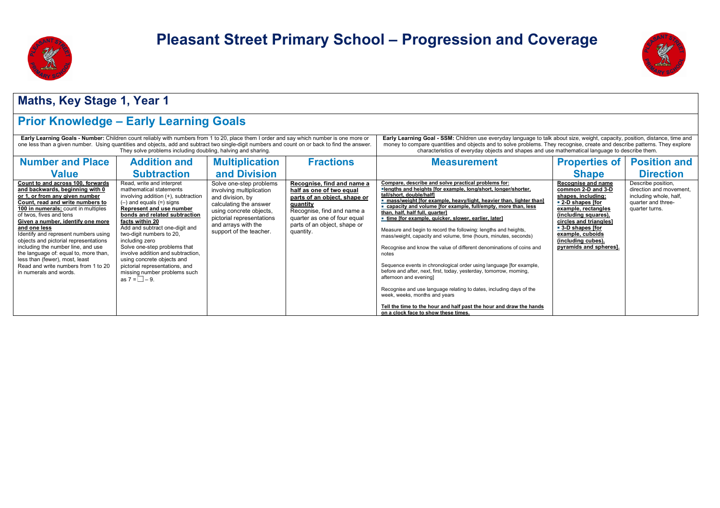



#### **Maths, Key Stage 1, Year 1**

### **Prior Knowledge – Early Learning Goals**

| Early Learning Goals - Number: Children count reliably with numbers from 1 to 20, place them I order and say which number is one more or<br>one less than a given number. Using quantities and objects, add and subtract two single-digit numbers and count on or back to find the answer.<br>They solve problems including doubling, halving and sharing.                                                                                                                                                                           |                                                                                                                                                                                                                                                                                                                                                                                                                                                                                            |                                                                                                                                                                                                             |                                                                                                                                                                                                               | Early Learning Goal - SSM: Children use everyday language to talk about size, weight, capacity, position, distance, time and<br>money to compare quantities and objects and to solve problems. They recognise, create and describe patterns. They explore<br>characteristics of everyday objects and shapes and use mathematical language to describe them.                                                                                                                                                                                                                                                                                                                                                                                                                                                                                                                                                                                                                                                   |                                                                                                                                                                                                                                                      |                                                                                                                 |  |
|--------------------------------------------------------------------------------------------------------------------------------------------------------------------------------------------------------------------------------------------------------------------------------------------------------------------------------------------------------------------------------------------------------------------------------------------------------------------------------------------------------------------------------------|--------------------------------------------------------------------------------------------------------------------------------------------------------------------------------------------------------------------------------------------------------------------------------------------------------------------------------------------------------------------------------------------------------------------------------------------------------------------------------------------|-------------------------------------------------------------------------------------------------------------------------------------------------------------------------------------------------------------|---------------------------------------------------------------------------------------------------------------------------------------------------------------------------------------------------------------|---------------------------------------------------------------------------------------------------------------------------------------------------------------------------------------------------------------------------------------------------------------------------------------------------------------------------------------------------------------------------------------------------------------------------------------------------------------------------------------------------------------------------------------------------------------------------------------------------------------------------------------------------------------------------------------------------------------------------------------------------------------------------------------------------------------------------------------------------------------------------------------------------------------------------------------------------------------------------------------------------------------|------------------------------------------------------------------------------------------------------------------------------------------------------------------------------------------------------------------------------------------------------|-----------------------------------------------------------------------------------------------------------------|--|
| <b>Number and Place</b>                                                                                                                                                                                                                                                                                                                                                                                                                                                                                                              | <b>Addition and</b>                                                                                                                                                                                                                                                                                                                                                                                                                                                                        | <b>Multiplication</b>                                                                                                                                                                                       | <b>Fractions</b>                                                                                                                                                                                              | <b>Measurement</b>                                                                                                                                                                                                                                                                                                                                                                                                                                                                                                                                                                                                                                                                                                                                                                                                                                                                                                                                                                                            | <b>Properties of</b>                                                                                                                                                                                                                                 | <b>Position and</b>                                                                                             |  |
| <b>Value</b>                                                                                                                                                                                                                                                                                                                                                                                                                                                                                                                         | <b>Subtraction</b>                                                                                                                                                                                                                                                                                                                                                                                                                                                                         | and Division                                                                                                                                                                                                |                                                                                                                                                                                                               |                                                                                                                                                                                                                                                                                                                                                                                                                                                                                                                                                                                                                                                                                                                                                                                                                                                                                                                                                                                                               | <b>Shape</b>                                                                                                                                                                                                                                         | <b>Direction</b>                                                                                                |  |
| Count to and across 100, forwards<br>and backwards. beginning with 0<br>or 1, or from any given number<br>Count. read and write numbers to<br>100 in numerals; count in multiples<br>of twos, fives and tens<br>Given a number, identify one more<br>and one less<br>Identify and represent numbers using<br>objects and pictorial representations<br>including the number line, and use<br>the language of: equal to, more than,<br>less than (fewer), most, least<br>Read and write numbers from 1 to 20<br>in numerals and words. | Read, write and interpret<br>mathematical statements<br>involving addition (+), subtraction<br>$(-)$ and equals $(=)$ signs<br>Represent and use number<br>bonds and related subtraction<br>facts within 20<br>Add and subtract one-digit and<br>two-digit numbers to 20,<br>including zero<br>Solve one-step problems that<br>involve addition and subtraction.<br>using concrete objects and<br>pictorial representations, and<br>missing number problems such<br>as $7 = \square - 9$ . | Solve one-step problems<br>involving multiplication<br>and division, by<br>calculating the answer<br>using concrete objects,<br>pictorial representations<br>and arrays with the<br>support of the teacher. | Recognise, find and name a<br>half as one of two equal<br>parts of an object, shape or<br>quantity<br>Recognise, find and name a<br>quarter as one of four equal<br>parts of an object, shape or<br>quantity. | Compare, describe and solve practical problems for:<br>"lengths and heights [for example, long/short, longer/shorter,<br>tall/short, double/halfl<br>" mass/weight [for example, heavy/light, heavier than, lighter than]<br>" capacity and volume [for example, full/empty, more than, less<br>than, half, half full, quarterl<br>time [for example, quicker, slower, earlier, later]<br>Measure and begin to record the following: lengths and heights,<br>mass/weight, capacity and volume, time (hours, minutes, seconds)<br>Recognise and know the value of different denominations of coins and<br>notes<br>Sequence events in chronological order using language [for example,<br>before and after, next, first, today, yesterday, tomorrow, morning,<br>afternoon and evening]<br>Recognise and use language relating to dates, including days of the<br>week, weeks, months and years<br>Tell the time to the hour and half past the hour and draw the hands<br>on a clock face to show these times. | Recognise and name<br>common 2-D and 3-D<br>shapes, including:<br>■ 2-D shapes ffor<br>example, rectangles<br>(including squares),<br>circles and triangles]<br>■ 3-D shapes [for<br>example, cuboids<br>(including cubes)<br>pyramids and spheres]. | Describe position,<br>direction and movement.<br>including whole, half,<br>quarter and three-<br>quarter turns. |  |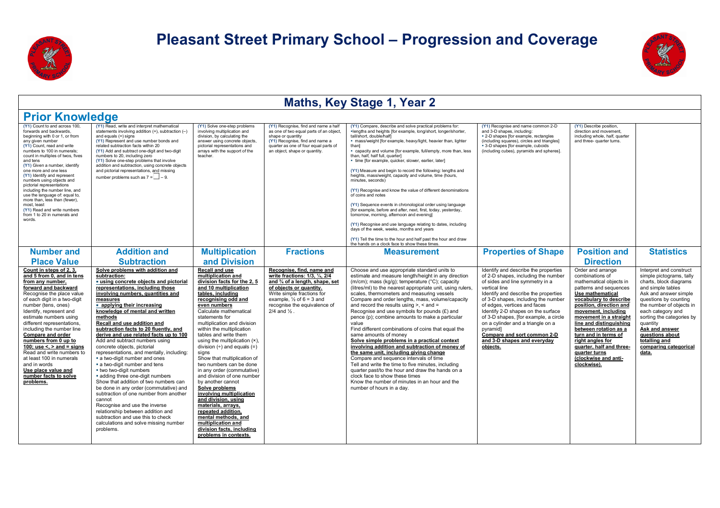



#### **Maths, Key Stage 1, Year 2 Prior Knowledge (Y1)** Count to and across 100, forwards and backwards, beginning with 0 or 1, or from any given number **(Y1)** Count, read and write numbers to 100 in numerals count in multiples of twos, fives and tens **(Y1)** Given a number, identify one more and one less **(Y1)** Identify and represent numbers using objects and pictorial representations including the number line, and use the language of: equal to, more than, less than (fewer) most, least **(Y1)** Read and write numbers from 1 to 20 in numerals and words. **(Y1)** Read, write and interpret mathematical statements involving addition (+), subtraction (and equals  $(=)$  signs **(Y1)** Represent and use number bonds and related subtraction facts within 20 **(Y1)** Add and subtract one-digit and two-digit numbers to 20, including zero **(Y1)** Solve one-step problems that involve addition and subtraction, using concrete objects and pictorial representations, and missing number problems such as  $7 = 2 - 9$ . **(Y1)** Solve one-step problems involving multiplication and division, by calculating the answer using concrete objects, pictorial representations and arrays with the support of the teacher. **(Y1)** Recognise, find and name a half as one of two equal parts of an object, shape or quantity **(Y1)** Recognise, find and name a quarter as one of four equal parts of an object, shape or quantity. **(Y1)** Compare, describe and solve practical problems for: §lengths and heights [for example, long/short, longer/shorter, tall/short, double/half] **E** mass/weight [for example, heavy/light, heavier than, lighter than] § capacity and volume [for example, full/empty, more than, less than, half, half full, quarter] § time [for example, quicker, slower, earlier, later] **(Y1)** Measure and begin to record the following: lengths and heights, mass/weight, capacity and volume, time (hours, minutes, seconds) **(Y1)** Recognise and know the value of different denominations of coins and notes **(Y1)** Sequence events in chronological order using language [for example, before and after, next, first, today, yesterday, tomorrow, morning, afternoon and evening] **(Y1)** Recognise and use language relating to dates, including days of the week, weeks, months and years **(Y1)** Tell the time to the hour and half past the hour and draw the hands on a clock face to show these times. **(Y1)** Recognise and name common 2-D and 3-D shapes, including: § 2-D shapes [for example, rectangles (including squares), circles and triangles] § 3-D shapes [for example, cuboids (including cubes), pyramids and spheres]. **(Y1)** Describe position, direction and movement, including whole, half, quarter and three- quarter turns. **Number and Place Value Addition and Subtraction Multiplication and Division Fractions Measurement Properties of Shape Position and Direction Statistics Count in steps of 2, 3, and 5 from 0, and in tens from any number, forward and backward**  Recognise the place value of each digit in a two-digit number (tens, ones) Identify, represent and estimate numbers using different representations, including the number line **Compare and order numbers from 0 up to 100; use <, > and = signs**  Read and write numbers to at least 100 in numerals and in words **Use place value and number facts to solve problems. Solve problems with addition and subtraction:**  ■ **using concrete objects and pictorial representations, including those involving numbers, quantities and measures**  § **applying their increasing knowledge of mental and written methods Recall and use addition and subtraction facts to 20 fluently, and derive and use related facts up to 100**  Add and subtract numbers using concrete objects, pictorial representations, and mentally, including: § a two-digit number and ones **a** two-digit number and tens § two two-digit numbers § adding three one-digit numbers Show that addition of two numbers can be done in any order (commutative) and subtraction of one number from another cannot Recognise and use the inverse relationship between addition and subtraction and use this to check calculations and solve missing number problems. **Recall and use multiplication and division facts for the 2, 5 and 10 multiplication tables, including recognising odd and even numbers**  Calculate mathematical statements for multiplication and division within the multiplication tables and write them using the multiplication (x). division  $(+)$  and equals  $(=)$ signs Show that multiplication of two numbers can be done in any order (commutative) and division of one number by another cannot **Solve problems involving multiplication and division, using materials, arrays, repeated addition, mental methods, and multiplication and division facts, including problems in contexts. Recognise, find, name and write fractions: 1/3, ¼, 2/4 and ¾ of a length, shape, set of objects or quantity.** Write simple fractions for example,  $\frac{1}{2}$  of 6 = 3 and recognise the equivalence of 2/4 and ½ . Choose and use appropriate standard units to estimate and measure length/height in any direction (m/cm); mass (kg/g); temperature (°C); capacity (litres/ml) to the nearest appropriate unit, using rulers, scales, thermometers and measuring vessels Compare and order lengths, mass, volume/capacity and record the results using  $> <$  and  $=$ Recognise and use symbols for pounds (£) and pence (p); combine amounts to make a particular value Find different combinations of coins that equal the same amounts of money **Solve simple problems in a practical context involving addition and subtraction of money of the same unit, including giving change**  Compare and sequence intervals of time Tell and write the time to five minutes, including quarter past/to the hour and draw the hands on a clock face to show these times Know the number of minutes in an hour and the number of hours in a day. Identify and describe the properties of 2-D shapes, including the number of sides and line symmetry in a vertical line Identify and describe the properties of 3-D shapes, including the number of edges, vertices and faces Identify 2-D shapes on the surface of 3-D shapes, [for example, a circle on a cylinder and a triangle on a pyramid] **Compare and sort common 2-D and 3-D shapes and everyday objects.**  Order and arrange combinations of mathematical objects in patterns and sequences **Use mathematical vocabulary to describe position, direction and movement, including movement in a straight line and distinguishing between rotation as a turn and in terms of right angles for quarter, half and threequarter turns (clockwise and anticlockwise).**  Interpret and construct simple pictograms, tally charts, block diagrams and simple tables Ask and answer simple questions by counting the number of objects in each category and sorting the categories by quantity **Ask and answer questions about totalling and comparing categorical data.**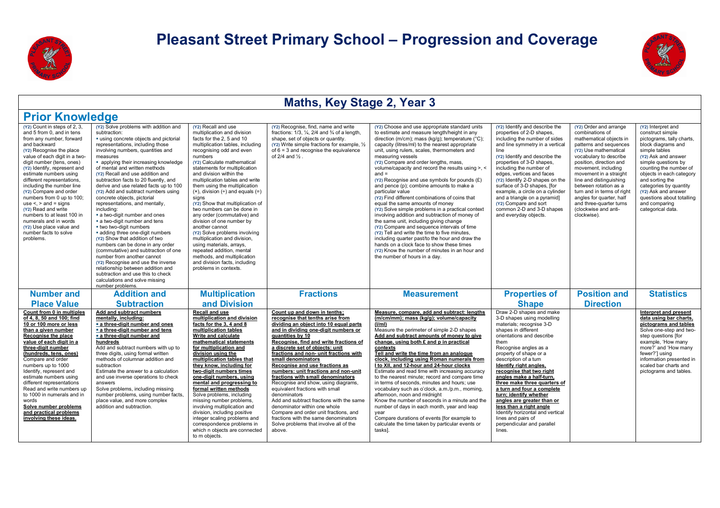



| <b>Prior Knowledge</b>                                                                                                                                                                                                                                                                                                                                                                                                                                                                                                                                       |                                                                                                                                                                                                                                                                                                                                                                                                                                                                                                                                                                                                                                                                                                                                                                                                                                                                                                                                                              |                                                                                                                                                                                                                                                                                                                                                                                                                                                                                                                                                                                                                                                                                                                                                  |                                                                                                                                                                                                                                                                                                                                                                                                                                                                                                                                                                                                                                                                                                                                               |                                                                                                                                                                                                                                                                                                                                                                                                                                                                                                                                                                                                                                                                                                                                                                                                                                                                                                                                                                                                                                   |                                                                                                                                                                                                                                                                                                                                                                                                                                                                                                                                                                 |                                                                                                                                                                                                                                                                                                                                                                                                               |                                                                                                                                                                                                                                                                                                                                                       |
|--------------------------------------------------------------------------------------------------------------------------------------------------------------------------------------------------------------------------------------------------------------------------------------------------------------------------------------------------------------------------------------------------------------------------------------------------------------------------------------------------------------------------------------------------------------|--------------------------------------------------------------------------------------------------------------------------------------------------------------------------------------------------------------------------------------------------------------------------------------------------------------------------------------------------------------------------------------------------------------------------------------------------------------------------------------------------------------------------------------------------------------------------------------------------------------------------------------------------------------------------------------------------------------------------------------------------------------------------------------------------------------------------------------------------------------------------------------------------------------------------------------------------------------|--------------------------------------------------------------------------------------------------------------------------------------------------------------------------------------------------------------------------------------------------------------------------------------------------------------------------------------------------------------------------------------------------------------------------------------------------------------------------------------------------------------------------------------------------------------------------------------------------------------------------------------------------------------------------------------------------------------------------------------------------|-----------------------------------------------------------------------------------------------------------------------------------------------------------------------------------------------------------------------------------------------------------------------------------------------------------------------------------------------------------------------------------------------------------------------------------------------------------------------------------------------------------------------------------------------------------------------------------------------------------------------------------------------------------------------------------------------------------------------------------------------|-----------------------------------------------------------------------------------------------------------------------------------------------------------------------------------------------------------------------------------------------------------------------------------------------------------------------------------------------------------------------------------------------------------------------------------------------------------------------------------------------------------------------------------------------------------------------------------------------------------------------------------------------------------------------------------------------------------------------------------------------------------------------------------------------------------------------------------------------------------------------------------------------------------------------------------------------------------------------------------------------------------------------------------|-----------------------------------------------------------------------------------------------------------------------------------------------------------------------------------------------------------------------------------------------------------------------------------------------------------------------------------------------------------------------------------------------------------------------------------------------------------------------------------------------------------------------------------------------------------------|---------------------------------------------------------------------------------------------------------------------------------------------------------------------------------------------------------------------------------------------------------------------------------------------------------------------------------------------------------------------------------------------------------------|-------------------------------------------------------------------------------------------------------------------------------------------------------------------------------------------------------------------------------------------------------------------------------------------------------------------------------------------------------|
| (Y2) Count in steps of 2, 3.<br>and 5 from 0, and in tens<br>from any number, forward<br>and backward<br>(Y2) Recognise the place<br>value of each digit in a two-<br>digit number (tens, ones)<br>(Y2) Identify, represent and<br>estimate numbers using<br>different representations,<br>including the number line<br>(Y2) Compare and order<br>numbers from 0 up to 100:<br>use $\le$ , $>$ and $=$ signs<br>(Y2) Read and write<br>numbers to at least 100 in<br>numerals and in words<br>(Y2) Use place value and<br>number facts to solve<br>problems. | (Y2) Solve problems with addition and<br>subtraction:<br>" using concrete objects and pictorial<br>representations, including those<br>involving numbers, quantities and<br>measures<br>• applying their increasing knowledge<br>of mental and written methods<br>(Y2) Recall and use addition and<br>subtraction facts to 20 fluently, and<br>derive and use related facts up to 100<br>(Y2) Add and subtract numbers using<br>concrete objects, pictorial<br>representations, and mentally,<br>including:<br>• a two-digit number and ones<br>a two-digit number and tens<br>. two two-digit numbers<br>· adding three one-digit numbers<br>(Y2) Show that addition of two<br>numbers can be done in any order<br>(commutative) and subtraction of one<br>number from another cannot<br>(Y2) Recognise and use the inverse<br>relationship between addition and<br>subtraction and use this to check<br>calculations and solve missing<br>number problems. | (Y2) Recall and use<br>multiplication and division<br>facts for the 2, 5 and 10<br>multiplication tables, including<br>recognising odd and even<br>numbers<br>(Y2) Calculate mathematical<br>statements for multiplication<br>and division within the<br>multiplication tables and write<br>them using the multiplication<br>$(x)$ , division $(*)$ and equals $(=)$<br>sians<br>(Y2) Show that multiplication of<br>two numbers can be done in<br>any order (commutative) and<br>division of one number by<br>another cannot<br>(Y2) Solve problems involving<br>multiplication and division,<br>using materials, arrays,<br>repeated addition, mental<br>methods, and multiplication<br>and division facts, including<br>problems in contexts. | (Y2) Recognise, find, name and write<br>fractions: $1/3$ , $\frac{1}{4}$ , $2/4$ and $\frac{3}{4}$ of a length,<br>shape, set of objects or quantity.<br>(Y2) Write simple fractions for example, 1/2<br>of $6 = 3$ and recognise the equivalence<br>of $2/4$ and $\frac{1}{2}$ .                                                                                                                                                                                                                                                                                                                                                                                                                                                             | (Y2) Choose and use appropriate standard units<br>to estimate and measure length/height in any<br>direction (m/cm); mass (kg/g); temperature (°C);<br>capacity (litres/ml) to the nearest appropriate<br>unit, using rulers, scales, thermometers and<br>measuring vessels<br>(Y2) Compare and order lengths, mass,<br>volume/capacity and record the results using >, <<br>$and =$<br>$(Y2)$ Recognise and use symbols for pounds $(E)$<br>and pence (p); combine amounts to make a<br>particular value<br>(Y2) Find different combinations of coins that<br>equal the same amounts of money<br>(Y2) Solve simple problems in a practical context<br>involving addition and subtraction of money of<br>the same unit, including giving change<br>(Y2) Compare and sequence intervals of time<br>(Y2) Tell and write the time to five minutes,<br>including quarter past/to the hour and draw the<br>hands on a clock face to show these times<br>(Y2) Know the number of minutes in an hour and<br>the number of hours in a day. | (Y2) Identify and describe the<br>properties of 2-D shapes,<br>including the number of sides<br>and line symmetry in a vertical<br>line<br>(Y2) Identify and describe the<br>properties of 3-D shapes,<br>including the number of<br>edges, vertices and faces<br>(Y2) Identify 2-D shapes on the<br>surface of 3-D shapes, [for<br>example, a circle on a cylinder<br>and a triangle on a pyramid]<br>(Y2) Compare and sort<br>common 2-D and 3-D shapes<br>and everyday objects.                                                                              | (Y2) Order and arrange<br>combinations of<br>mathematical objects in<br>patterns and sequences<br>(Y2) Use mathematical<br>vocabulary to describe<br>position, direction and<br>movement, including<br>movement in a straight<br>line and distinguishing<br>between rotation as a<br>turn and in terms of right<br>angles for quarter, half<br>and three-quarter turns<br>(clockwise and anti-<br>clockwise). | (Y2) Interpret and<br>construct simple<br>pictograms, tally charts,<br>block diagrams and<br>simple tables<br>(Y2) Ask and answer<br>simple questions by<br>counting the number of<br>objects in each category<br>and sorting the<br>categories by quantity<br>(Y2) Ask and answer<br>questions about totalling<br>and comparing<br>categorical data. |
| <b>Number and</b>                                                                                                                                                                                                                                                                                                                                                                                                                                                                                                                                            | <b>Addition and</b>                                                                                                                                                                                                                                                                                                                                                                                                                                                                                                                                                                                                                                                                                                                                                                                                                                                                                                                                          | <b>Multiplication</b>                                                                                                                                                                                                                                                                                                                                                                                                                                                                                                                                                                                                                                                                                                                            | <b>Fractions</b>                                                                                                                                                                                                                                                                                                                                                                                                                                                                                                                                                                                                                                                                                                                              | <b>Measurement</b>                                                                                                                                                                                                                                                                                                                                                                                                                                                                                                                                                                                                                                                                                                                                                                                                                                                                                                                                                                                                                | <b>Properties of</b>                                                                                                                                                                                                                                                                                                                                                                                                                                                                                                                                            | <b>Position and</b>                                                                                                                                                                                                                                                                                                                                                                                           | <b>Statistics</b>                                                                                                                                                                                                                                                                                                                                     |
| <b>Place Value</b>                                                                                                                                                                                                                                                                                                                                                                                                                                                                                                                                           | <b>Subtraction</b>                                                                                                                                                                                                                                                                                                                                                                                                                                                                                                                                                                                                                                                                                                                                                                                                                                                                                                                                           | and Division                                                                                                                                                                                                                                                                                                                                                                                                                                                                                                                                                                                                                                                                                                                                     |                                                                                                                                                                                                                                                                                                                                                                                                                                                                                                                                                                                                                                                                                                                                               |                                                                                                                                                                                                                                                                                                                                                                                                                                                                                                                                                                                                                                                                                                                                                                                                                                                                                                                                                                                                                                   | <b>Shape</b>                                                                                                                                                                                                                                                                                                                                                                                                                                                                                                                                                    | <b>Direction</b>                                                                                                                                                                                                                                                                                                                                                                                              |                                                                                                                                                                                                                                                                                                                                                       |
| Count from 0 in multiples<br>of 4, 8, 50 and 100; find<br>10 or 100 more or less<br>than a given number<br>Recognise the place<br>value of each digit in a<br>three-digit number<br>(hundreds, tens, ones)<br>Compare and order<br>numbers up to 1000<br>Identify, represent and<br>estimate numbers using<br>different representations<br>Read and write numbers up<br>to 1000 in numerals and in<br>words<br>Solve number problems<br>and practical problems<br>involving these ideas.                                                                     | Add and subtract numbers<br>mentally, including:<br>a three-digit number and ones<br>a three-digit number and tens<br>a three-digit number and<br>hundreds<br>Add and subtract numbers with up to<br>three digits, using formal written<br>methods of columnar addition and<br>subtraction<br>Estimate the answer to a calculation<br>and use inverse operations to check<br>answers<br>Solve problems, including missing<br>number problems, using number facts,<br>place value, and more complex<br>addition and subtraction.                                                                                                                                                                                                                                                                                                                                                                                                                              | <b>Recall and use</b><br>multiplication and division<br>facts for the 3, 4 and 8<br>multiplication tables<br>Write and calculate<br>mathematical statements<br>for multiplication and<br>division using the<br>multiplication tables that<br>they know, including for<br>two-digit numbers times<br>one-digit numbers, using<br>mental and progressing to<br>formal written methods<br>Solve problems, including<br>missing number problems,<br>involving multiplication and<br>division, including positive<br>integer scaling problems and<br>correspondence problems in<br>which n objects are connected<br>to m objects.                                                                                                                     | Count up and down in tenths;<br>recognise that tenths arise from<br>dividing an object into 10 equal parts<br>and in dividing one-digit numbers or<br>quantities by 10<br>Recognise, find and write fractions of<br>a discrete set of objects: unit<br>fractions and non- unit fractions with<br>small denominators<br>Recognise and use fractions as<br>numbers: unit fractions and non-unit<br>fractions with small denominators<br>Recognise and show, using diagrams,<br>equivalent fractions with small<br>denominators<br>Add and subtract fractions with the same<br>denominator within one whole<br>Compare and order unit fractions, and<br>fractions with the same denominators<br>Solve problems that involve all of the<br>above. | Measure, compare, add and subtract: lengths<br>(m/cm/mm); mass (kg/g); volume/capacity<br>(I/ml)<br>Measure the perimeter of simple 2-D shapes<br>Add and subtract amounts of money to give<br>change, using both £ and p in practical<br>contexts<br>Tell and write the time from an analogue<br>clock, including using Roman numerals from<br>I to XII, and 12-hour and 24-hour clocks<br>Estimate and read time with increasing accuracy<br>to the nearest minute; record and compare time<br>in terms of seconds, minutes and hours; use<br>vocabulary such as o'clock, a.m./p.m., morning,<br>afternoon, noon and midnight<br>Know the number of seconds in a minute and the<br>number of days in each month, year and leap<br>vear<br>Compare durations of events [for example to<br>calculate the time taken by particular events or<br>tasksl.                                                                                                                                                                            | Draw 2-D shapes and make<br>3-D shapes using modelling<br>materials; recognise 3-D<br>shapes in different<br>orientations and describe<br>them<br>Recognise angles as a<br>property of shape or a<br>description of a turn<br>Identify right angles,<br>recognise that two right<br>angles make a half-turn,<br>three make three quarters of<br>a turn and four a complete<br>turn; identify whether<br>angles are greater than or<br>less than a right angle<br>Identify horizontal and vertical<br>lines and pairs of<br>perpendicular and parallel<br>lines. |                                                                                                                                                                                                                                                                                                                                                                                                               | Interpret and present<br>data using bar charts,<br>pictograms and tables<br>Solve one-step and two-<br>step questions [for<br>example. 'How many<br>more?' and 'How many<br>fewer?'] using<br>information presented in<br>scaled bar charts and<br>pictograms and tables.                                                                             |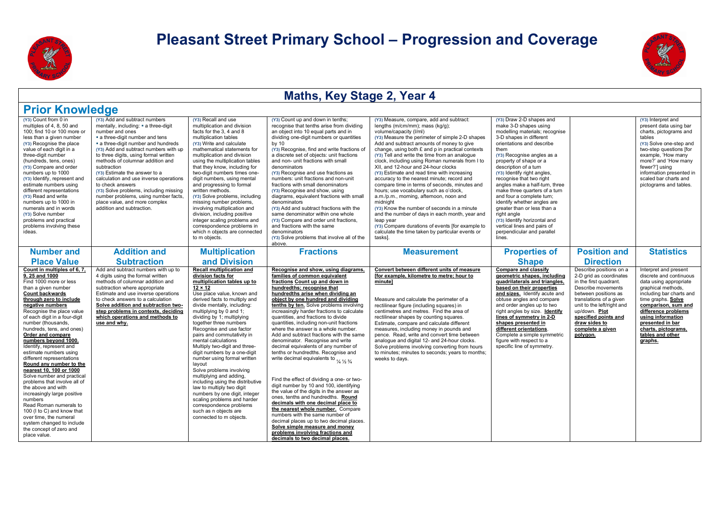



| <b>Prior Knowledge</b>                                                                                                                                                                                                                                                                                                                                                                                                                                                                                                                                                                                                                                                                                                                                                |                                                                                                                                                                                                                                                                                                                                                                                                                                                                                                                                                    |                                                                                                                                                                                                                                                                                                                                                                                                                                                                                                                                                                                                                                                                                                                                                            |                                                                                                                                                                                                                                                                                                                                                                                                                                                                                                                                                                                                                                                                                                                                                                                                                                                                                                                                                                                                                                                                                                                       |                                                                                                                                                                                                                                                                                                                                                                                                                                                                                                                                                                                                                                                                                                                                                                                                                                                                                      |                                                                                                                                                                                                                                                                                                                                                                                                                                                                                                                                                                                     |                                                                                                                                                                                                                                                                               |                                                                                                                                                                                                                                                                                                 |  |
|-----------------------------------------------------------------------------------------------------------------------------------------------------------------------------------------------------------------------------------------------------------------------------------------------------------------------------------------------------------------------------------------------------------------------------------------------------------------------------------------------------------------------------------------------------------------------------------------------------------------------------------------------------------------------------------------------------------------------------------------------------------------------|----------------------------------------------------------------------------------------------------------------------------------------------------------------------------------------------------------------------------------------------------------------------------------------------------------------------------------------------------------------------------------------------------------------------------------------------------------------------------------------------------------------------------------------------------|------------------------------------------------------------------------------------------------------------------------------------------------------------------------------------------------------------------------------------------------------------------------------------------------------------------------------------------------------------------------------------------------------------------------------------------------------------------------------------------------------------------------------------------------------------------------------------------------------------------------------------------------------------------------------------------------------------------------------------------------------------|-----------------------------------------------------------------------------------------------------------------------------------------------------------------------------------------------------------------------------------------------------------------------------------------------------------------------------------------------------------------------------------------------------------------------------------------------------------------------------------------------------------------------------------------------------------------------------------------------------------------------------------------------------------------------------------------------------------------------------------------------------------------------------------------------------------------------------------------------------------------------------------------------------------------------------------------------------------------------------------------------------------------------------------------------------------------------------------------------------------------------|--------------------------------------------------------------------------------------------------------------------------------------------------------------------------------------------------------------------------------------------------------------------------------------------------------------------------------------------------------------------------------------------------------------------------------------------------------------------------------------------------------------------------------------------------------------------------------------------------------------------------------------------------------------------------------------------------------------------------------------------------------------------------------------------------------------------------------------------------------------------------------------|-------------------------------------------------------------------------------------------------------------------------------------------------------------------------------------------------------------------------------------------------------------------------------------------------------------------------------------------------------------------------------------------------------------------------------------------------------------------------------------------------------------------------------------------------------------------------------------|-------------------------------------------------------------------------------------------------------------------------------------------------------------------------------------------------------------------------------------------------------------------------------|-------------------------------------------------------------------------------------------------------------------------------------------------------------------------------------------------------------------------------------------------------------------------------------------------|--|
| (Y3) Count from 0 in<br>multiples of 4, 8, 50 and<br>100; find 10 or 100 more or<br>less than a given number<br>(Y3) Recognise the place<br>value of each digit in a<br>three-digit number<br>(hundreds, tens, ones)<br>(Y3) Compare and order<br>numbers up to 1000<br>(Y3) Identify, represent and<br>estimate numbers using<br>different representations<br>(Y3) Read and write<br>numbers up to 1000 in<br>numerals and in words<br>(Y3) Solve number<br>problems and practical<br>problems involving these<br>ideas.                                                                                                                                                                                                                                             | (Y3) Add and subtract numbers<br>mentally, including: • a three-digit<br>number and ones<br>a three-digit number and tens<br>a three-digit number and hundreds<br>(Y3) Add and subtract numbers with up<br>to three digits, using formal written<br>methods of columnar addition and<br>subtraction<br>(Y3) Estimate the answer to a<br>calculation and use inverse operations<br>to check answers<br>(Y3) Solve problems, including missing<br>number problems, using number facts.<br>place value, and more complex<br>addition and subtraction. | (Y3) Recall and use<br>multiplication and division<br>facts for the 3, 4 and 8<br>multiplication tables<br>(Y3) Write and calculate<br>mathematical statements for<br>multiplication and division<br>using the multiplication tables<br>that they know, including for<br>two-digit numbers times one-<br>digit numbers, using mental<br>and progressing to formal<br>written methods.<br>(Y3) Solve problems, including<br>missing number problems,<br>involving multiplication and<br>division, including positive<br>integer scaling problems and<br>correspondence problems in<br>which n objects are connected<br>to m objects.                                                                                                                        | (Y3) Count up and down in tenths;<br>recognise that tenths arise from dividing<br>an object into 10 equal parts and in<br>dividing one-digit numbers or quantities<br>by $10$<br>(Y3) Recognise, find and write fractions of<br>a discrete set of objects: unit fractions<br>and non- unit fractions with small<br>denominators<br>(Y3) Recognise and use fractions as<br>numbers: unit fractions and non-unit<br>fractions with small denominators<br>(Y3) Recognise and show, using<br>diagrams, equivalent fractions with small<br>denominators<br>(Y3) Add and subtract fractions with the<br>same denominator within one whole<br>(Y3) Compare and order unit fractions,<br>and fractions with the same<br>denominators<br>(Y3) Solve problems that involve all of the<br>above.                                                                                                                                                                                                                                                                                                                                 | (Y3) Measure, compare, add and subtract:<br>lengths (m/cm/mm); mass (kg/g);<br>volume/capacity (I/ml)<br>(Y3) Measure the perimeter of simple 2-D shapes<br>Add and subtract amounts of money to give<br>change, using both £ and p in practical contexts<br>(Y3) Tell and write the time from an analogue<br>clock, including using Roman numerals from I to<br>XII, and 12-hour and 24-hour clocks<br>(Y3) Estimate and read time with increasing<br>accuracy to the nearest minute; record and<br>compare time in terms of seconds, minutes and<br>hours; use vocabulary such as o'clock,<br>a.m./p.m., morning, afternoon, noon and<br>midnight<br>(Y3) Know the number of seconds in a minute<br>and the number of days in each month, year and<br>leap year<br>(Y3) Compare durations of events [for example to<br>calculate the time taken by particular events or<br>tasksl. | (Y3) Draw 2-D shapes and<br>make 3-D shapes using<br>modelling materials; recognise<br>3-D shapes in different<br>orientations and describe<br>them<br>(Y3) Recognise angles as a<br>property of shape or a<br>description of a turn<br>(Y3) Identify right angles,<br>recognise that two right<br>angles make a half-turn, three<br>make three quarters of a turn<br>and four a complete turn;<br>identify whether angles are<br>greater than or less than a<br>right angle<br>(Y3) Identify horizontal and<br>vertical lines and pairs of<br>perpendicular and parallel<br>lines. |                                                                                                                                                                                                                                                                               | (Y3) Interpret and<br>present data using bar<br>charts, pictograms and<br>tables<br>(Y3) Solve one-step and<br>two-step questions [for<br>example, 'How many<br>more?' and 'How many<br>fewer?'] using<br>information presented in<br>scaled bar charts and<br>pictograms and tables.           |  |
| <b>Number and</b><br><b>Place Value</b>                                                                                                                                                                                                                                                                                                                                                                                                                                                                                                                                                                                                                                                                                                                               | <b>Addition and</b><br><b>Subtraction</b>                                                                                                                                                                                                                                                                                                                                                                                                                                                                                                          | <b>Multiplication</b><br>and Division                                                                                                                                                                                                                                                                                                                                                                                                                                                                                                                                                                                                                                                                                                                      | <b>Fractions</b>                                                                                                                                                                                                                                                                                                                                                                                                                                                                                                                                                                                                                                                                                                                                                                                                                                                                                                                                                                                                                                                                                                      | <b>Measurement</b>                                                                                                                                                                                                                                                                                                                                                                                                                                                                                                                                                                                                                                                                                                                                                                                                                                                                   | <b>Properties of</b><br><b>Shape</b>                                                                                                                                                                                                                                                                                                                                                                                                                                                                                                                                                | <b>Position and</b><br><b>Direction</b>                                                                                                                                                                                                                                       | <b>Statistics</b>                                                                                                                                                                                                                                                                               |  |
| Count in multiples of 6, 7.<br>9, 25 and 1000<br>Find 1000 more or less<br>than a given number<br><b>Count backwards</b><br>through zero to include<br>negative numbers<br>Recognise the place value<br>of each digit in a four-digit<br>number (thousands.<br>hundreds, tens, and ones)<br>Order and compare<br>numbers beyond 1000.<br>Identify, represent and<br>estimate numbers using<br>different representations<br>Round any number to the<br>nearest 10, 100 or 1000<br>Solve number and practical<br>problems that involve all of<br>the above and with<br>increasingly large positive<br>numbers<br>Read Roman numerals to<br>100 (I to C) and know that<br>over time, the numeral<br>system changed to include<br>the concept of zero and<br>place value. | Add and subtract numbers with up to<br>4 digits using the formal written<br>methods of columnar addition and<br>subtraction where appropriate<br>Estimate and use inverse operations<br>to check answers to a calculation<br>Solve addition and subtraction two-<br>step problems in contexts, deciding<br>which operations and methods to<br>use and whv.                                                                                                                                                                                         | <b>Recall multiplication and</b><br>division facts for<br>multiplication tables up to<br>$12 \times 12$<br>Use place value, known and<br>derived facts to multiply and<br>divide mentally, including:<br>multiplying by 0 and 1;<br>dividing by 1; multiplying<br>together three numbers<br>Recognise and use factor<br>pairs and commutativity in<br>mental calculations<br>Multiply two-digit and three-<br>digit numbers by a one-digit<br>number using formal written<br>lavout<br>Solve problems involving<br>multiplying and adding,<br>including using the distributive<br>law to multiply two digit<br>numbers by one digit, integer<br>scaling problems and harder<br>correspondence problems<br>such as n objects are<br>connected to m objects. | Recognise and show, using diagrams,<br>families of common equivalent<br>fractions Count up and down in<br>hundredths: recognise that<br>hundredths arise when dividing an<br>object by one hundred and dividing<br>tenths by ten. Solve problems involving<br>increasingly harder fractions to calculate<br>quantities, and fractions to divide<br>quantities, including non-unit fractions<br>where the answer is a whole number.<br>Add and subtract fractions with the same<br>denominator. Recognise and write<br>decimal equivalents of any number of<br>tenths or hundredths. Recognise and<br>write decimal equivalents to $\frac{1}{4} \frac{1}{2} \frac{3}{4}$<br>Find the effect of dividing a one- or two-<br>digit number by 10 and 100, identifying<br>the value of the digits in the answer as<br>ones, tenths and hundredths. Round<br>decimals with one decimal place to<br>the nearest whole number. Compare<br>numbers with the same number of<br>decimal places up to two decimal places.<br>Solve simple measure and money<br>problems involving fractions and<br>decimals to two decimal places. | Convert between different units of measure<br>[for example, kilometre to metre; hour to<br>minutel<br>Measure and calculate the perimeter of a<br>rectilinear figure (including squares) in<br>centimetres and metres. Find the area of<br>rectilinear shapes by counting squares.<br>Estimate, compare and calculate different<br>measures, including money in pounds and<br>pence. Read, write and convert time between<br>analogue and digital 12- and 24-hour clocks.<br>Solve problems involving converting from hours<br>to minutes; minutes to seconds; years to months;<br>weeks to days.                                                                                                                                                                                                                                                                                    | <b>Compare and classify</b><br>geometric shapes, including<br>quadrilaterals and triangles.<br>based on their properties<br>and sizes. Identify acute and<br>obtuse angles and compare<br>and order angles up to two<br>right angles by size. Identify<br>lines of symmetry in 2-D<br>shapes presented in<br>different orientations.<br>Complete a simple symmetric<br>figure with respect to a<br>specific line of symmetry.                                                                                                                                                       | Describe positions on a<br>2-D grid as coordinates<br>in the first quadrant.<br>Describe movements<br>between positions as<br>translations of a given<br>unit to the left/right and<br>up/down. Plot<br>specified points and<br>draw sides to<br>complete a given<br>polygon. | Interpret and present<br>discrete and continuous<br>data using appropriate<br>graphical methods,<br>including bar charts and<br>time graphs. Solve<br>comparison, sum and<br>difference problems<br>using information<br>presented in bar<br>charts, pictograms,<br>tables and other<br>graphs. |  |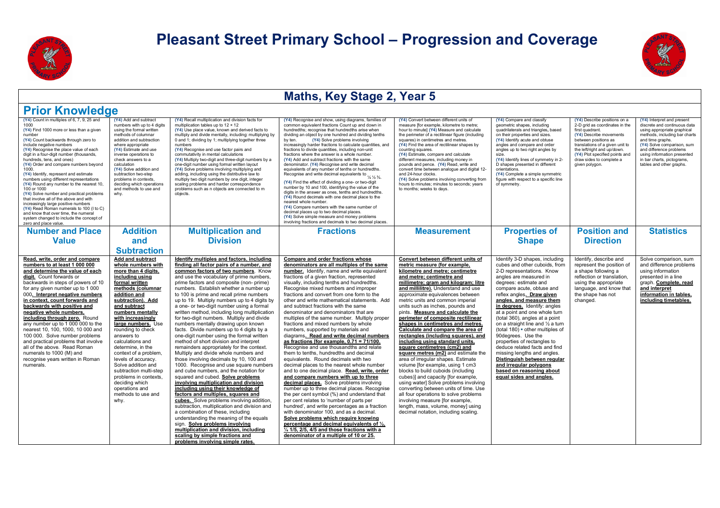



| <b>Prior Knowledge</b>                                                                                                                                                                                                                                                                                                                                                                                                                                                                                                                                                                                                                                                                                                                                                                 |                                                                                                                                                                                                                                                                                                                                                                                                                                                                                                                    |                                                                                                                                                                                                                                                                                                                                                                                                                                                                                                                                                                                                                                                                                                                                                                                                                                                                                                                                                                                                                                                                                                                                                                                                                                                                                                                                                                                                  |                                                                                                                                                                                                                                                                                                                                                                                                                                                                                                                                                                                                                                                                                                                                                                                                                                                                                                                                                                                                                                                                                                                                                                                                                                                                                                                                                                                                                                |                                                                                                                                                                                                                                                                                                                                                                                                                                                                                                                                                                                                                                                                                                                                                                                                                                                                                                                                                                                                                                      |                                                                                                                                                                                                                                                                                                                                                                                                                                                                                                                                                                                                                                                        |                                                                                                                                                                                                                                                                                        |                                                                                                                                                                                                                                                                                                  |
|----------------------------------------------------------------------------------------------------------------------------------------------------------------------------------------------------------------------------------------------------------------------------------------------------------------------------------------------------------------------------------------------------------------------------------------------------------------------------------------------------------------------------------------------------------------------------------------------------------------------------------------------------------------------------------------------------------------------------------------------------------------------------------------|--------------------------------------------------------------------------------------------------------------------------------------------------------------------------------------------------------------------------------------------------------------------------------------------------------------------------------------------------------------------------------------------------------------------------------------------------------------------------------------------------------------------|--------------------------------------------------------------------------------------------------------------------------------------------------------------------------------------------------------------------------------------------------------------------------------------------------------------------------------------------------------------------------------------------------------------------------------------------------------------------------------------------------------------------------------------------------------------------------------------------------------------------------------------------------------------------------------------------------------------------------------------------------------------------------------------------------------------------------------------------------------------------------------------------------------------------------------------------------------------------------------------------------------------------------------------------------------------------------------------------------------------------------------------------------------------------------------------------------------------------------------------------------------------------------------------------------------------------------------------------------------------------------------------------------|--------------------------------------------------------------------------------------------------------------------------------------------------------------------------------------------------------------------------------------------------------------------------------------------------------------------------------------------------------------------------------------------------------------------------------------------------------------------------------------------------------------------------------------------------------------------------------------------------------------------------------------------------------------------------------------------------------------------------------------------------------------------------------------------------------------------------------------------------------------------------------------------------------------------------------------------------------------------------------------------------------------------------------------------------------------------------------------------------------------------------------------------------------------------------------------------------------------------------------------------------------------------------------------------------------------------------------------------------------------------------------------------------------------------------------|--------------------------------------------------------------------------------------------------------------------------------------------------------------------------------------------------------------------------------------------------------------------------------------------------------------------------------------------------------------------------------------------------------------------------------------------------------------------------------------------------------------------------------------------------------------------------------------------------------------------------------------------------------------------------------------------------------------------------------------------------------------------------------------------------------------------------------------------------------------------------------------------------------------------------------------------------------------------------------------------------------------------------------------|--------------------------------------------------------------------------------------------------------------------------------------------------------------------------------------------------------------------------------------------------------------------------------------------------------------------------------------------------------------------------------------------------------------------------------------------------------------------------------------------------------------------------------------------------------------------------------------------------------------------------------------------------------|----------------------------------------------------------------------------------------------------------------------------------------------------------------------------------------------------------------------------------------------------------------------------------------|--------------------------------------------------------------------------------------------------------------------------------------------------------------------------------------------------------------------------------------------------------------------------------------------------|
| (Y4) Count in multiples of 6, 7, 9, 25 and<br>1000<br>(Y4) Find 1000 more or less than a given<br>number<br>(Y4) Count backwards through zero to<br>include negative numbers<br>(Y4) Recognise the place value of each<br>digit in a four-digit number (thousands,<br>hundreds, tens, and ones)<br>(Y4) Order and compare numbers beyond<br>1000.<br>(Y4) Identify, represent and estimate<br>numbers using different representations<br>(Y4) Round any number to the nearest 10,<br>100 or 1000<br>(Y4) Solve number and practical problems<br>that involve all of the above and with<br>increasingly large positive numbers<br>(Y4) Read Roman numerals to 100 (I to C)<br>and know that over time, the numeral<br>system changed to include the concept of<br>zero and place value. | (Y4) Add and subtract<br>numbers with up to 4 digits<br>using the formal written<br>methods of columnar<br>addition and subtraction<br>where appropriate<br>(Y4) Estimate and use<br>inverse operations to<br>check answers to a<br>calculation<br>(Y4) Solve addition and<br>subtraction two-step<br>problems in contexts,<br>deciding which operations<br>and methods to use and<br>why.                                                                                                                         | (Y4) Recall multiplication and division facts for<br>multiplication tables up to 12 x 12<br>(Y4) Use place value, known and derived facts to<br>multiply and divide mentally, including: multiplying by<br>0 and 1; dividing by 1; multiplying together three<br>numbers<br>(Y4) Recognise and use factor pairs and<br>commutativity in mental calculations<br>(Y4) Multiply two-digit and three-digit numbers by a<br>one-digit number using formal written layout<br>(Y4) Solve problems involving multiplying and<br>adding, including using the distributive law to<br>multiply two digit numbers by one digit, integer<br>scaling problems and harder correspondence<br>problems such as n objects are connected to m<br>objects.                                                                                                                                                                                                                                                                                                                                                                                                                                                                                                                                                                                                                                                           | (Y4) Recognise and show, using diagrams, families of<br>common equivalent fractions Count up and down in<br>hundredths: recognise that hundredths arise when<br>dividing an object by one hundred and dividing tenths<br>(Y4) Solve problems involving<br>by ten.<br>increasingly harder fractions to calculate quantities, and<br>fractions to divide quantities, including non-unit<br>fractions where the answer is a whole number.<br>(Y4) Add and subtract fractions with the same<br>denominator. (Y4) Recognise and write decimal<br>equivalents of any number of tenths or hundredths.<br>Becognise and write decimal equivalents to $\frac{1}{4} \frac{1}{2} \frac{3}{4}$ .<br>(Y4) Find the effect of dividing a one- or two-digit<br>number by 10 and 100, identifying the value of the<br>digits in the answer as ones, tenths and hundredths.<br>(Y4) Round decimals with one decimal place to the<br>nearest whole number.<br>(Y4) Compare numbers with the same number of<br>decimal places up to two decimal places.<br>(Y4) Solve simple measure and money problems<br>involving fractions and decimals to two decimal places.                                                                                                                                                                                                                                                                                | (Y4) Convert between different units of<br>measure [for example, kilometre to metre;<br>hour to minute] (Y4) Measure and calculate<br>the perimeter of a rectilinear figure (including<br>squares) in centimetres and metres.<br>(Y4) Find the area of rectilinear shapes by<br>counting squares.<br>(Y4) Estimate, compare and calculate<br>different measures, including money in<br>pounds and pence. (Y4) Read, write and<br>convert time between analogue and digital 12-<br>and 24-hour clocks.<br>(Y4) Solve problems involving converting from<br>hours to minutes; minutes to seconds; years<br>to months; weeks to days.                                                                                                                                                                                                                                                                                                                                                                                                   | (Y4) Compare and classify<br>geometric shapes, including<br>quadrilaterals and triangles, based<br>on their properties and sizes.<br>(Y4) Identify acute and obtuse<br>angles and compare and order<br>angles up to two right angles by<br>size.<br>(Y4) Identify lines of symmetry in 2-<br>D shapes presented in different<br>orientations.<br>(Y4) Complete a simple symmetric<br>figure with respect to a specific line<br>of symmetry.                                                                                                                                                                                                            | (Y4) Describe positions on a<br>2-D grid as coordinates in the<br>first quadrant.<br>(Y4) Describe movements<br>between positions as<br>translations of a given unit to<br>the left/right and up/down.<br>(Y4) Plot specified points and<br>draw sides to complete a<br>given polygon. | (Y4) Interpret and present<br>discrete and continuous data<br>using appropriate graphical<br>methods, including bar charts<br>and time graphs.<br>(Y4) Solve comparison, sum<br>and difference problems<br>using information presented<br>in bar charts, pictograms,<br>tables and other graphs. |
| <b>Number and Place</b>                                                                                                                                                                                                                                                                                                                                                                                                                                                                                                                                                                                                                                                                                                                                                                | <b>Addition</b>                                                                                                                                                                                                                                                                                                                                                                                                                                                                                                    | <b>Multiplication and</b>                                                                                                                                                                                                                                                                                                                                                                                                                                                                                                                                                                                                                                                                                                                                                                                                                                                                                                                                                                                                                                                                                                                                                                                                                                                                                                                                                                        | <b>Fractions</b>                                                                                                                                                                                                                                                                                                                                                                                                                                                                                                                                                                                                                                                                                                                                                                                                                                                                                                                                                                                                                                                                                                                                                                                                                                                                                                                                                                                                               | <b>Measurement</b>                                                                                                                                                                                                                                                                                                                                                                                                                                                                                                                                                                                                                                                                                                                                                                                                                                                                                                                                                                                                                   | <b>Properties of</b>                                                                                                                                                                                                                                                                                                                                                                                                                                                                                                                                                                                                                                   | <b>Position and</b>                                                                                                                                                                                                                                                                    | <b>Statistics</b>                                                                                                                                                                                                                                                                                |
| <b>Value</b>                                                                                                                                                                                                                                                                                                                                                                                                                                                                                                                                                                                                                                                                                                                                                                           | and<br><b>Subtraction</b>                                                                                                                                                                                                                                                                                                                                                                                                                                                                                          | <b>Division</b>                                                                                                                                                                                                                                                                                                                                                                                                                                                                                                                                                                                                                                                                                                                                                                                                                                                                                                                                                                                                                                                                                                                                                                                                                                                                                                                                                                                  |                                                                                                                                                                                                                                                                                                                                                                                                                                                                                                                                                                                                                                                                                                                                                                                                                                                                                                                                                                                                                                                                                                                                                                                                                                                                                                                                                                                                                                |                                                                                                                                                                                                                                                                                                                                                                                                                                                                                                                                                                                                                                                                                                                                                                                                                                                                                                                                                                                                                                      | <b>Shape</b>                                                                                                                                                                                                                                                                                                                                                                                                                                                                                                                                                                                                                                           | <b>Direction</b>                                                                                                                                                                                                                                                                       |                                                                                                                                                                                                                                                                                                  |
| Read, write, order and compare<br>numbers to at least 1 000 000<br>and determine the value of each<br>digit. Count forwards or<br>backwards in steps of powers of 10<br>for any given number up to 1 000<br>000. Interpret negative numbers<br>in context, count forwards and<br>backwards with positive and<br>negative whole numbers,<br>including through zero. Round<br>any number up to 1 000 000 to the<br>nearest 10, 100, 1000, 10 000 and<br>100 000. Solve number problems<br>and practical problems that involve<br>all of the above. Read Roman<br>numerals to 1000 (M) and<br>recognise years written in Roman<br>numerals.                                                                                                                                               | Add and subtract<br>whole numbers with<br>more than 4 digits,<br>including using<br>formal written<br>methods (columnar<br>addition and<br>subtraction). Add<br>and subtract<br>numbers mentally<br>with increasingly<br>large numbers. Use<br>rounding to check<br>answers to<br>calculations and<br>determine, in the<br>context of a problem.<br>levels of accuracy.<br>Solve addition and<br>subtraction multi-step<br>problems in contexts.<br>deciding which<br>operations and<br>methods to use and<br>why. | Identify multiples and factors, including<br>finding all factor pairs of a number, and<br>common factors of two numbers. Know<br>and use the vocabulary of prime numbers,<br>prime factors and composite (non-prime)<br>numbers. Establish whether a number up<br>to 100 is prime and recall prime numbers<br>up to 19. Multiply numbers up to 4 digits by<br>a one- or two-digit number using a formal<br>written method, including long multiplication<br>for two-digit numbers. Multiply and divide<br>numbers mentally drawing upon known<br>facts. Divide numbers up to 4 digits by a<br>one-digit number using the formal written<br>method of short division and interpret<br>remainders appropriately for the context.<br>Multiply and divide whole numbers and<br>those involving decimals by 10, 100 and<br>1000. Recognise and use square numbers<br>and cube numbers, and the notation for<br>squared and cubed. Solve problems<br>involving multiplication and division<br>including using their knowledge of<br>factors and multiples, squares and<br>cubes. Solve problems involving addition,<br>subtraction, multiplication and division and<br>a combination of these, including<br>understanding the meaning of the equals<br>sign. Solve problems involving<br>multiplication and division, including<br>scaling by simple fractions and<br>problems involving simple rates. | Compare and order fractions whose<br>denominators are all multiples of the same<br>number. Identify, name and write equivalent<br>fractions of a given fraction, represented<br>visually, including tenths and hundredths.<br>Recognise mixed numbers and improper<br>fractions and convert from one form to the<br>other and write mathematical statements. Add<br>and subtract fractions with the same<br>denominator and denominators that are<br>multiples of the same number. Multiply proper<br>fractions and mixed numbers by whole<br>numbers, supported by materials and<br>diagrams. Read and write decimal numbers<br>as fractions [for example, $0.71 = 71/100$ .<br>Recognise and use thousandths and relate<br>them to tenths, hundredths and decimal<br>equivalents. Round decimals with two<br>decimal places to the nearest whole number<br>and to one decimal place. Read, write, order<br>and compare numbers with up to three<br>decimal places. Solve problems involving<br>number up to three decimal places. Recognise<br>the per cent symbol (%) and understand that<br>per cent relates to 'number of parts per<br>hundred', and write percentages as a fraction<br>with denominator 100, and as a decimal.<br>Solve problems which require knowing<br>percentage and decimal equivalents of 1/2.<br>$\frac{1}{4}$ 1/5, 2/5, 4/5 and those fractions with a<br>denominator of a multiple of 10 or 25. | Convert between different units of<br>metric measure (for example,<br>kilometre and metre: centimetre<br>and metre; centimetre and<br>millimetre; gram and kilogram; litre<br>and millilitre). Understand and use<br>approximate equivalences between<br>metric units and common imperial<br>units such as inches, pounds and<br>pints. Measure and calculate the<br>perimeter of composite rectilinear<br>shapes in centimetres and metres.<br>Calculate and compare the area of<br>rectangles (including squares), and<br>including using standard units,<br>square centimetres (cm2) and<br>square metres (m2) and estimate the<br>area of irregular shapes. Estimate<br>volume [for example, using 1 cm3<br>blocks to build cuboids (including<br>cubes)] and capacity [for example,<br>using water] Solve problems involving<br>converting between units of time. Use<br>all four operations to solve problems<br>involving measure [for example,<br>length, mass, volume, money] using<br>decimal notation, including scaling. | Identify 3-D shapes, including<br>cubes and other cuboids, from<br>2-D representations. Know<br>angles are measured in<br>degrees: estimate and<br>compare acute, obtuse and<br>reflex angles. Draw given<br>angles, and measure them<br>in degrees. Identify: angles<br>at a point and one whole turn<br>(total 360), angles at a point<br>on a straight line and 1/2 a turn<br>(total 180) · other multiples of<br>90degrees. Use the<br>properties of rectangles to<br>deduce related facts and find<br>missing lengths and angles.<br>Distinguish between regular<br>and irregular polygons<br>based on reasoning about<br>equal sides and angles. | Identify, describe and<br>represent the position of<br>a shape following a<br>reflection or translation.<br>using the appropriate<br>language, and know that<br>the shape has not<br>changed.                                                                                          | Solve comparison, sum<br>and difference problems<br>using information<br>presented in a line<br>graph. Complete, read<br>and interpret<br>information in tables,<br>including timetables.                                                                                                        |